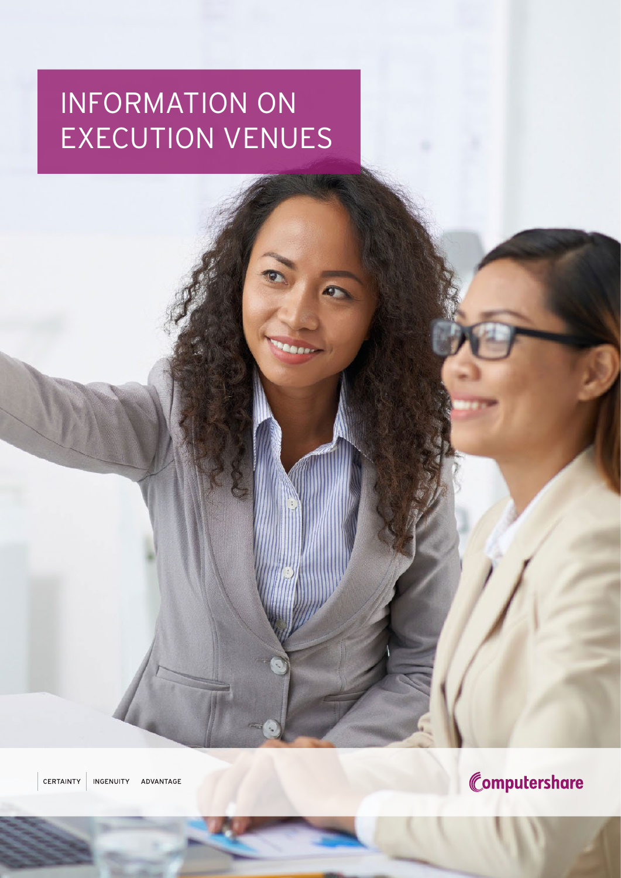# INFORMATION ON EXECUTION VENUES

CERTAINTY INGENUITY ADVANTAGE

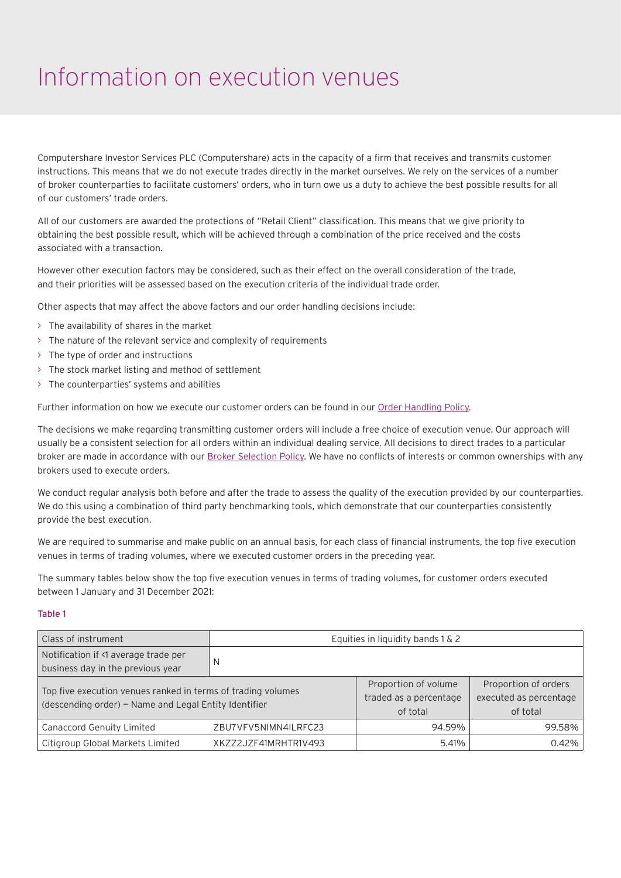### Information on execution venues

Computershare Investor Services PLC (Computershare) acts in the capacity of a firm that receives and transmits customer instructions. This means that we do not execute trades directly in the market ourselves. We rely on the services of a number of broker counterparties to facilitate customers' orders, who in turn owe us a duty to achieve the best possible results for all of our customers' trade orders.

All of our customers are awarded the protections of "Retail Client" classification. This means that we give priority to obtaining the best possible result, which will be achieved through a combination of the price received and the costs associated with a transaction.

However other execution factors may be considered, such as their effect on the overall consideration of the trade, and their priorities will be assessed based on the execution criteria of the individual trade order.

Other aspects that may affect the above factors and our order handling decisions include:

- > The availability of shares in the market
- > The nature of the relevant service and complexity of requirements
- > The type of order and instructions
- > The stock market listing and method of settlement
- > The counterparties' systems and abilities

Further information on how we execute our customer orders can be found in our [Order Handling Policy.](https://www.computershare.com/uk/order-handling-policy)

The decisions we make regarding transmitting customer orders will include a free choice of execution venue. Our approach will usually be a consistent selection for all orders within an individual dealing service. All decisions to direct trades to a particular broker are made in accordance with our [Broker Selection Policy](https://www.computershare.com/uk/order-handling-policy). We have no conflicts of interests or common ownerships with any brokers used to execute orders.

We conduct regular analysis both before and after the trade to assess the quality of the execution provided by our counterparties. We do this using a combination of third party benchmarking tools, which demonstrate that our counterparties consistently provide the best execution.

We are required to summarise and make public on an annual basis, for each class of financial instruments, the top five execution venues in terms of trading volumes, where we executed customer orders in the preceding year.

The summary tables below show the top five execution venues in terms of trading volumes, for customer orders executed between 1 January and 31 December 2021:

#### Table 1

| <b>Class of instrument</b>                                                                                            |                      | Equities in liquidity bands 1 & 2                          |                                                            |
|-----------------------------------------------------------------------------------------------------------------------|----------------------|------------------------------------------------------------|------------------------------------------------------------|
| Notification if <1 average trade per<br>business day in the previous year                                             | N                    |                                                            |                                                            |
| Top five execution venues ranked in terms of trading volumes<br>(descending order) – Name and Legal Entity Identifier |                      | Proportion of volume<br>traded as a percentage<br>of total | Proportion of orders<br>executed as percentage<br>of total |
| Canaccord Genuity Limited                                                                                             | ZBU7VFV5NIMN4ILRFC23 | 94.59%                                                     | 99.58%                                                     |
| Citigroup Global Markets Limited                                                                                      | XKZZ2JZF41MRHTR1V493 | 5.41%                                                      | 0.42%                                                      |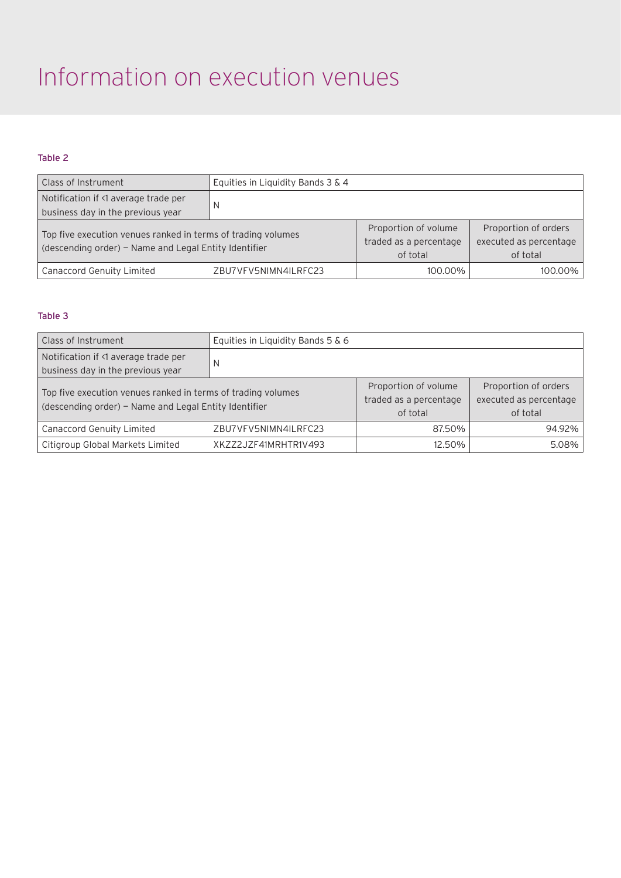## Information on execution venues

### Table 2

| Class of Instrument                                                                                                   | Equities in Liquidity Bands 3 & 4 |                                                            |                                                            |
|-----------------------------------------------------------------------------------------------------------------------|-----------------------------------|------------------------------------------------------------|------------------------------------------------------------|
| Notification if <1 average trade per<br>business day in the previous year                                             | N                                 |                                                            |                                                            |
| Top five execution venues ranked in terms of trading volumes<br>(descending order) - Name and Legal Entity Identifier |                                   | Proportion of volume<br>traded as a percentage<br>of total | Proportion of orders<br>executed as percentage<br>of total |
| <b>Canaccord Genuity Limited</b>                                                                                      | ZBU7VFV5NIMN4ILRFC23              | 100.00%                                                    | 100.00%                                                    |

#### Table 3

| Class of Instrument                                                                                                   | Equities in Liquidity Bands 5 & 6 |                                                            |                                                            |
|-----------------------------------------------------------------------------------------------------------------------|-----------------------------------|------------------------------------------------------------|------------------------------------------------------------|
| Notification if <1 average trade per<br>business day in the previous year                                             | N                                 |                                                            |                                                            |
| Top five execution venues ranked in terms of trading volumes<br>(descending order) - Name and Legal Entity Identifier |                                   | Proportion of volume<br>traded as a percentage<br>of total | Proportion of orders<br>executed as percentage<br>of total |
| <b>Canaccord Genuity Limited</b>                                                                                      | ZBU7VFV5NIMN4ILRFC23              | 87.50%                                                     | 94.92%                                                     |
| Citigroup Global Markets Limited                                                                                      | XKZZ2JZF41MRHTR1V493              | 12.50%                                                     | 5.08%                                                      |